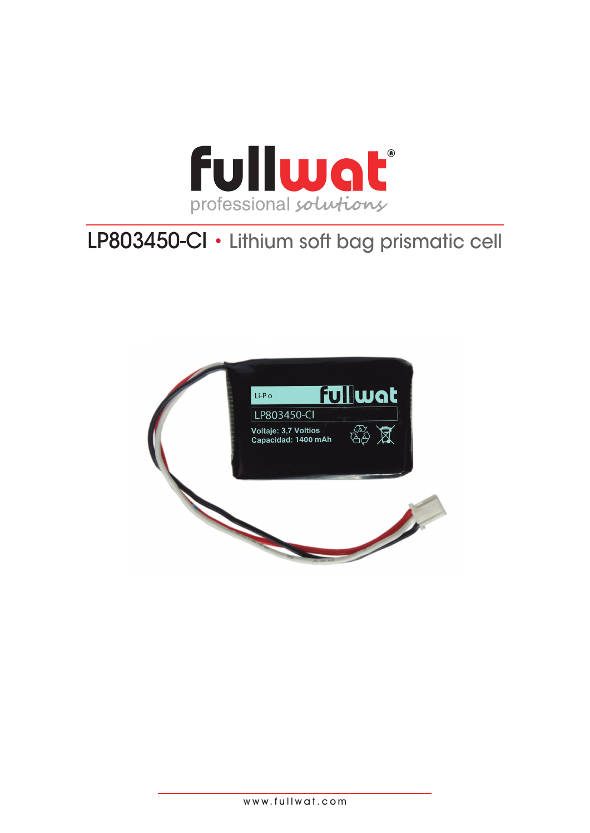

# LP803450-CI • Lithium soft bag prismatic cell



www.fullwat.com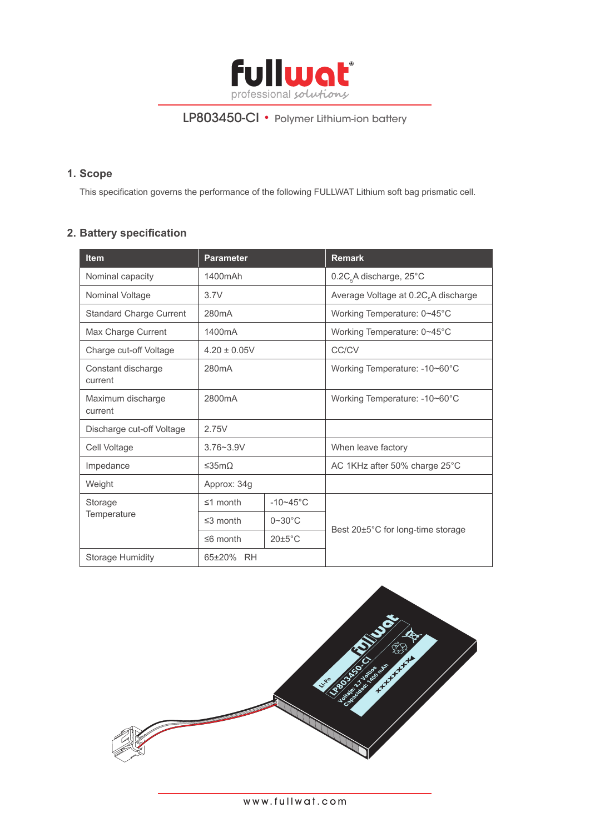

### **1. Scope**

This specification governs the performance of the following FULLWAT Lithium soft bag prismatic cell.

# **2. Battery specification**

| <b>Item</b>                    | <b>Parameter</b>   |                      | <b>Remark</b>                                    |  |
|--------------------------------|--------------------|----------------------|--------------------------------------------------|--|
| Nominal capacity               | 1400mAh            |                      | 0.2C <sub>5</sub> A discharge, 25°C              |  |
| Nominal Voltage                | 3.7V               |                      | Average Voltage at 0.2C <sub>5</sub> A discharge |  |
| <b>Standard Charge Current</b> | 280mA              |                      | Working Temperature: 0~45°C                      |  |
| Max Charge Current             | 1400mA             |                      | Working Temperature: 0~45°C                      |  |
| Charge cut-off Voltage         | $4.20 \pm 0.05V$   |                      | CC/CV                                            |  |
| Constant discharge<br>current  | 280 <sub>m</sub> A |                      | Working Temperature: -10~60°C                    |  |
| Maximum discharge<br>current   | 2800mA             |                      | Working Temperature: -10~60°C                    |  |
| Discharge cut-off Voltage      | 2.75V              |                      |                                                  |  |
| Cell Voltage                   | $3.76 - 3.9V$      |                      | When leave factory                               |  |
| Impedance                      | ≤35mΩ              |                      | AC 1KHz after 50% charge 25°C                    |  |
| Weight                         | Approx: 34g        |                      |                                                  |  |
| Storage<br>Temperature         | $\leq$ 1 month     | $-10-45$ °C          |                                                  |  |
|                                | $\leq$ 3 month     | $0 \sim 30$ °C       |                                                  |  |
|                                | $\leq 6$ month     | $20 \pm 5^{\circ}$ C | Best 20±5°C for long-time storage                |  |
| <b>Storage Humidity</b>        | 65±20% RH          |                      |                                                  |  |

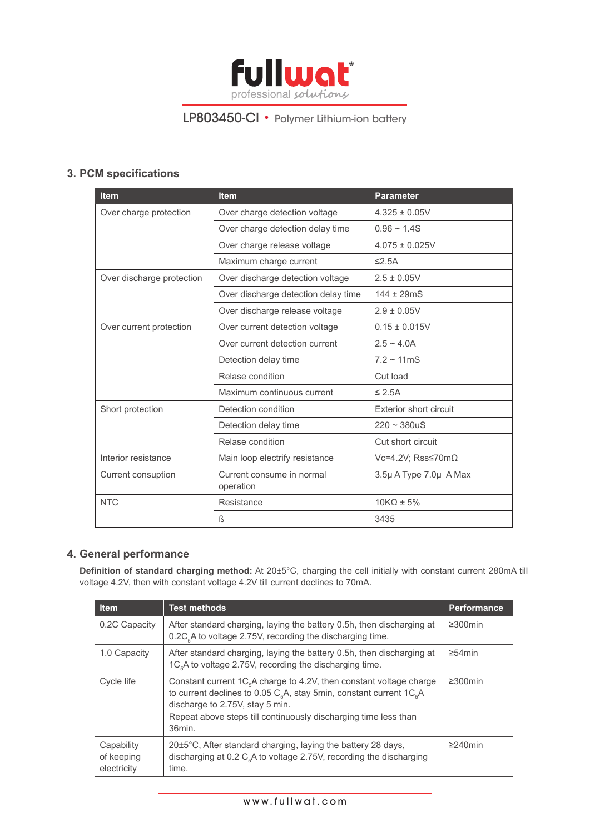

# **3. PCM specifications**

| <b>Item</b>               | <b>Item</b>                            | <b>Parameter</b>          |  |
|---------------------------|----------------------------------------|---------------------------|--|
| Over charge protection    | Over charge detection voltage          | $4.325 \pm 0.05V$         |  |
|                           | Over charge detection delay time       | $0.96 - 1.4S$             |  |
|                           | Over charge release voltage            | $4.075 \pm 0.025V$        |  |
|                           | Maximum charge current                 | $\leq$ 2.5A               |  |
| Over discharge protection | Over discharge detection voltage       | $2.5 \pm 0.05V$           |  |
|                           | Over discharge detection delay time    | $144 \pm 29 \text{m}$ S   |  |
|                           | Over discharge release voltage         | $2.9 \pm 0.05V$           |  |
| Over current protection   | Over current detection voltage         | $0.15 \pm 0.015V$         |  |
|                           | Over current detection current         | $2.5 \sim 4.0$ A          |  |
|                           | Detection delay time                   | $7.2 \sim 11 \text{mS}$   |  |
|                           | Relase condition                       | Cut load                  |  |
|                           | Maximum continuous current             | $\leq$ 2.5A               |  |
| Short protection          | Detection condition                    | Exterior short circuit    |  |
|                           | Detection delay time                   | $220 - 380$ uS            |  |
|                           | Relase condition                       | Cut short circuit         |  |
| Interior resistance       | Main loop electrify resistance         | Vc=4.2V; Rss≤70m $\Omega$ |  |
| Current consuption        | Current consume in normal<br>operation | 3.5µ A Type 7.0µ A Max    |  |
| <b>NTC</b>                | Resistance                             |                           |  |
|                           | ß                                      | 3435                      |  |

### **4. General performance**

**Definition of standard charging method:** At 20±5°C, charging the cell initially with constant current 280mA till voltage 4.2V, then with constant voltage 4.2V till current declines to 70mA.

| <b>Item</b>                             | <b>Test methods</b>                                                                                                                                                                                                                                                                 | <b>Performance</b> |
|-----------------------------------------|-------------------------------------------------------------------------------------------------------------------------------------------------------------------------------------------------------------------------------------------------------------------------------------|--------------------|
| 0.2C Capacity                           | After standard charging, laying the battery 0.5h, then discharging at<br>$0.2C5A$ to voltage 2.75V, recording the discharging time.                                                                                                                                                 | $\geq$ 300 $min$   |
| 1.0 Capacity                            | After standard charging, laying the battery 0.5h, then discharging at<br>1C <sub>5</sub> A to voltage 2.75V, recording the discharging time.                                                                                                                                        | $\geq$ 54 min      |
| Cycle life                              | Constant current $1C5A$ charge to 4.2V, then constant voltage charge<br>to current declines to 0.05 $C_{\epsilon}A$ , stay 5min, constant current 1 $C_{\epsilon}A$<br>discharge to 2.75V, stay 5 min.<br>Repeat above steps till continuously discharging time less than<br>36min. | $\geq$ 300 $min$   |
| Capability<br>of keeping<br>electricity | 20±5°C, After standard charging, laying the battery 28 days,<br>discharging at 0.2 $C_{\epsilon}$ A to voltage 2.75V, recording the discharging<br>time.                                                                                                                            | $\geq$ 240min      |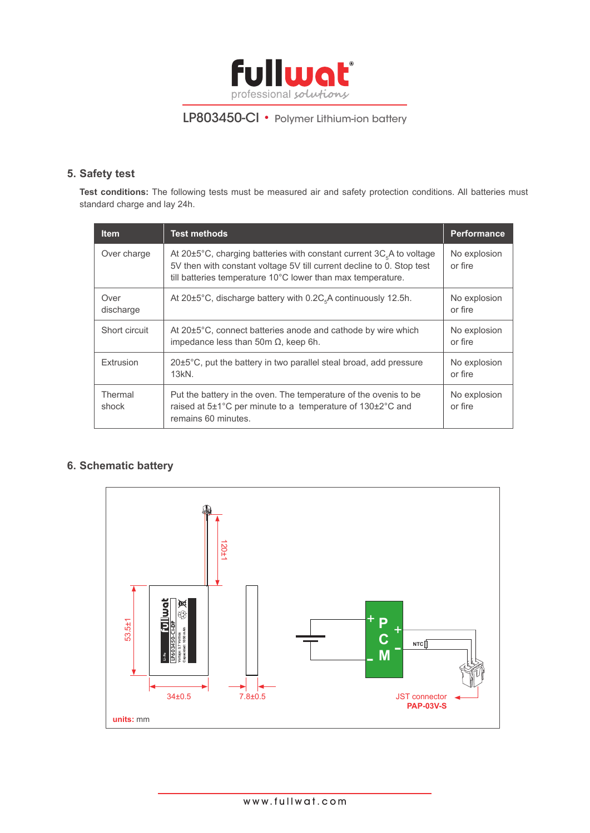

### **5. Safety test**

**Test conditions:** The following tests must be measured air and safety protection conditions. All batteries must standard charge and lay 24h.

| <b>Item</b>       | <b>Test methods</b>                                                                                                                                                                                                                         | <b>Performance</b>      |
|-------------------|---------------------------------------------------------------------------------------------------------------------------------------------------------------------------------------------------------------------------------------------|-------------------------|
| Over charge       | At 20 $\pm$ 5°C, charging batteries with constant current 3C <sub><math>s</math></sub> A to voltage<br>5V then with constant voltage 5V till current decline to 0. Stop test<br>till batteries temperature 10°C lower than max temperature. | No explosion<br>or fire |
| Over<br>discharge | At 20±5°C, discharge battery with 0.2C <sub><sub>c</sub>A continuously 12.5h.</sub>                                                                                                                                                         | No explosion<br>or fire |
| Short circuit     | At 20±5°C, connect batteries anode and cathode by wire which<br>impedance less than 50m $\Omega$ , keep 6h.                                                                                                                                 | No explosion<br>or fire |
| Extrusion         | 20±5°C, put the battery in two parallel steal broad, add pressure<br>$13kN$ .                                                                                                                                                               | No explosion<br>or fire |
| Thermal<br>shock  | Put the battery in the oven. The temperature of the oven is to be<br>raised at 5±1°C per minute to a temperature of 130±2°C and<br>remains 60 minutes.                                                                                      | No explosion<br>or fire |

# **6. Schematic battery**

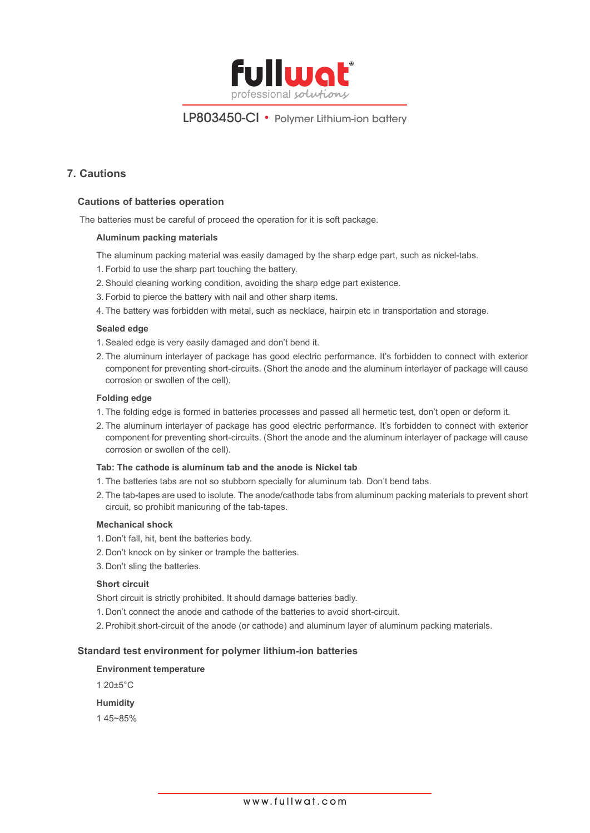

### **7. Cautions**

#### **Cautions of batteries operation**

The batteries must be careful of proceed the operation for it is soft package.

#### **Aluminum packing materials**

The aluminum packing material was easily damaged by the sharp edge part, such as nickel-tabs.

- 1. Forbid to use the sharp part touching the battery.
- 2.Should cleaning working condition, avoiding the sharp edge part existence.
- 3. Forbid to pierce the battery with nail and other sharp items.
- 4. The battery was forbidden with metal, such as necklace, hairpin etc in transportation and storage.

#### **Sealed edge**

1.Sealed edge is very easily damaged and don't bend it.

2. The aluminum interlayer of package has good electric performance. It's forbidden to connect with exterior component for preventing short-circuits. (Short the anode and the aluminum interlayer of package will cause corrosion or swollen of the cell).

#### **Folding edge**

- 1. The folding edge is formed in batteries processes and passed all hermetic test, don't open or deform it.
- 2. The aluminum interlayer of package has good electric performance. It's forbidden to connect with exterior component for preventing short-circuits. (Short the anode and the aluminum interlayer of package will cause corrosion or swollen of the cell).

#### **Tab: The cathode is aluminum tab and the anode is Nickel tab**

- 1. The batteries tabs are not so stubborn specially for aluminum tab. Don't bend tabs.
- 2. The tab-tapes are used to isolute. The anode/cathode tabs from aluminum packing materials to prevent short circuit, so prohibit manicuring of the tab-tapes.

#### **Mechanical shock**

- 1. Don't fall, hit, bent the batteries body.
- 2. Don't knock on by sinker or trample the batteries.
- 3. Don't sling the batteries.

#### **Short circuit**

Short circuit is strictly prohibited. It should damage batteries badly.

- 1. Don't connect the anode and cathode of the batteries to avoid short-circuit.
- 2. Prohibit short-circuit of the anode (or cathode) and aluminum layer of aluminum packing materials.

#### **Standard test environment for polymer lithium-ion batteries**

#### **Environment temperature**

1 20±5°C

#### **Humidity**

1 45~85%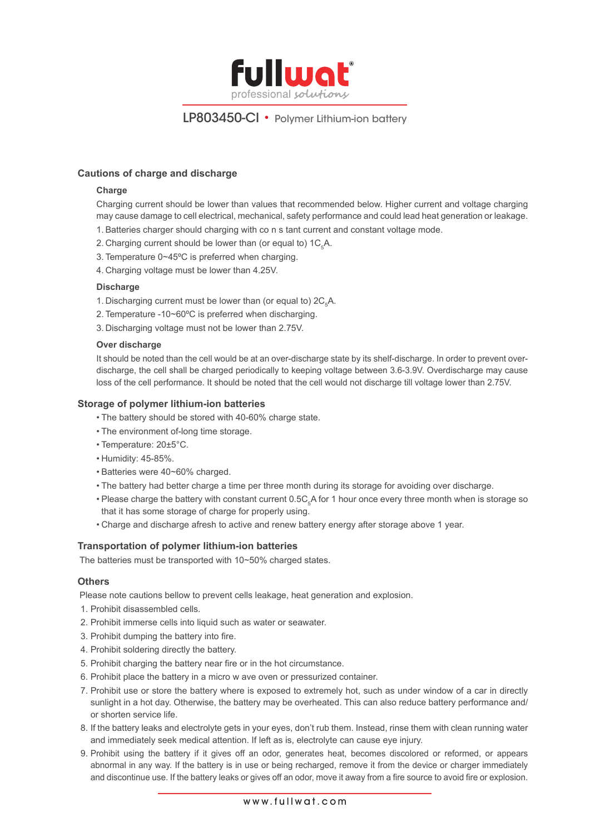

#### **Cautions of charge and discharge**

#### **Charge**

Charging current should be lower than values that recommended below. Higher current and voltage charging may cause damage to cell electrical, mechanical, safety performance and could lead heat generation or leakage.

- 1.Batteries charger should charging with co n s tant current and constant voltage mode.
- 2. Charging current should be lower than (or equal to)  $1C_{5}A$ .
- 3. Temperature 0~45ºC is preferred when charging.
- 4. Charging voltage must be lower than 4.25V.

#### **Discharge**

- 1. Discharging current must be lower than (or equal to)  $2C_5A$ .
- 2. Temperature -10~60ºC is preferred when discharging.
- 3. Discharging voltage must not be lower than 2.75V.

#### **Over discharge**

It should be noted than the cell would be at an over-discharge state by its shelf-discharge. In order to prevent overdischarge, the cell shall be charged periodically to keeping voltage between 3.6-3.9V. Overdischarge may cause loss of the cell performance. It should be noted that the cell would not discharge till voltage lower than 2.75V.

#### **Storage of polymer lithium-ion batteries**

- The battery should be stored with 40-60% charge state.
- The environment of-long time storage.
- Temperature: 20±5°C.
- Humidity: 45-85%.
- Batteries were 40~60% charged.
- The battery had better charge a time per three month during its storage for avoiding over discharge.
- Please charge the battery with constant current 0.5C<sub>5</sub>A for 1 hour once every three month when is storage so that it has some storage of charge for properly using.
- Charge and discharge afresh to active and renew battery energy after storage above 1 year.

#### **Transportation of polymer lithium-ion batteries**

The batteries must be transported with 10~50% charged states.

#### **Others**

Please note cautions bellow to prevent cells leakage, heat generation and explosion.

- 1. Prohibit disassembled cells.
- 2. Prohibit immerse cells into liquid such as water or seawater.
- 3. Prohibit dumping the battery into fire.
- 4. Prohibit soldering directly the battery.
- 5. Prohibit charging the battery near fire or in the hot circumstance.
- 6. Prohibit place the battery in a micro w ave oven or pressurized container.
- 7. Prohibit use or store the battery where is exposed to extremely hot, such as under window of a car in directly sunlight in a hot day. Otherwise, the battery may be overheated. This can also reduce battery performance and/ or shorten service life.
- 8. If the battery leaks and electrolyte gets in your eyes, don't rub them. Instead, rinse them with clean running water and immediately seek medical attention. If left as is, electrolyte can cause eye injury.
- 9. Prohibit using the battery if it gives off an odor, generates heat, becomes discolored or reformed, or appears abnormal in any way. If the battery is in use or being recharged, remove it from the device or charger immediately and discontinue use. If the battery leaks or gives off an odor, move it away from a fire source to avoid fire or explosion.